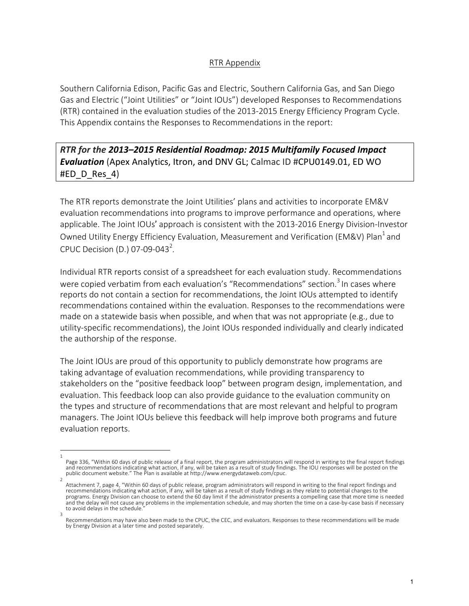## RTR Appendix

Southern California Edison, Pacific Gas and Electric, Southern California Gas, and San Diego Gas and Electric ("Joint Utilities" or "Joint IOUs") developed Responses to Recommendations (RTR) contained in the evaluation studies of the 2013-2015 Energy Efficiency Program Cycle. This Appendix contains the Responses to Recommendations in the report:

**RTR** for the 2013–2015 Residential Roadmap: 2015 Multifamily Focused Impact **Evaluation** (Apex Analytics, Itron, and DNV GL; Calmac ID #CPU0149.01, ED WO #ED\_D\_Res\_4)

The RTR reports demonstrate the Joint Utilities' plans and activities to incorporate EM&V evaluation recommendations into programs to improve performance and operations, where applicable. The Joint IOUs' approach is consistent with the 2013-2016 Energy Division-Investor Owned Utility Energy Efficiency Evaluation, Measurement and Verification (EM&V) Plan<sup>1</sup> and CPUC Decision (D.) 07-09-043<sup>2</sup>.

Individual RTR reports consist of a spreadsheet for each evaluation study. Recommendations were copied verbatim from each evaluation's "Recommendations" section.<sup>3</sup> In cases where reports do not contain a section for recommendations, the Joint IOUs attempted to identify recommendations contained within the evaluation. Responses to the recommendations were made on a statewide basis when possible, and when that was not appropriate (e.g., due to utility-specific recommendations), the Joint IOUs responded individually and clearly indicated the authorship of the response.

The Joint IOUs are proud of this opportunity to publicly demonstrate how programs are taking advantage of evaluation recommendations, while providing transparency to stakeholders on the "positive feedback loop" between program design, implementation, and evaluation. This feedback loop can also provide guidance to the evaluation community on the types and structure of recommendations that are most relevant and helpful to program managers. The Joint IOUs believe this feedback will help improve both programs and future evaluation reports.

<sup>1</sup>  Page 336, "Within 60 days of public release of a final report, the program administrators will respond in writing to the final report findings and recommendations indicating what action, if any, will be taken as a result of study findings. The IOU responses will be posted on the<br>public document website." The Plan is available at http://www.energydataweb.com/cpuc.

<sup>2</sup>  Attachment 7, page 4, "Within 60 days of public release, program administrators will respond in writing to the final report findings and recommendations indicating what action, if any, will be taken as a result of study findings as they relate to potential changes to the programs. Energy Division can choose to extend the 60 day limit if the administrator presents a compelling case that more time is needed and the delay will not cause any problems in the implementation schedule, and may shorten the time on a case-by-case basis if necessary to avoid delays in the schedule.

<sup>3</sup>  Recommendations may have also been made to the CPUC, the CEC, and evaluators. Responses to these recommendations will be made by Energy Division at a later time and posted separately.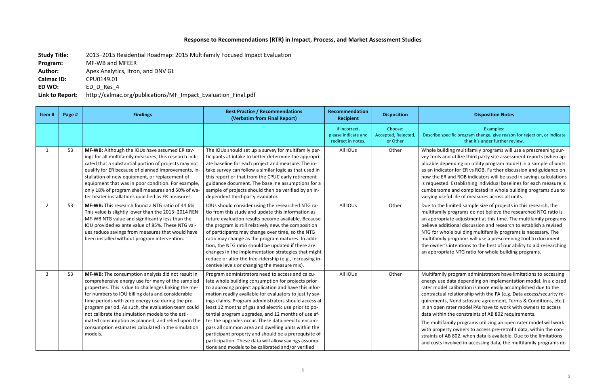## **Response to Recommendations (RTR) in Impact, Process, and Market Assessment Studies**

**Study Title:** 2013–2015 Residential Roadmap: 2015 Multifamily Focused Impact Evaluation

**Program:** MF-WB and MFEER

**Author:** Apex Analytics, Itron, and DNV GL

## **Disposition Notes**

**Calmac ID: CPU0149.01** 

**ED WO:** ED D Res 4

Link to Report: http://calmac.org/publications/MF\_Impact\_Evaluation\_Final.pdf

## Examples:

ecific program change, give reason for rejection, or indicate that it's under further review.

ding multifamily programs will use a prescreening surnd utilize third party site assessment reports (when appending on utility program model) in a sample of units ator for ER vs ROB. Further discussion and guidance on and ROB indicators will be used in savings calculations d. Establishing individual baselines for each measure is ne and complicated in whole building programs due to ful life of measures across all units.

limited sample size of projects in this research, the  $\nu$  programs do not believe the researched NTG ratio is iate adjustment at this time. The multifamily programs litional discussion and research to establish a revised ole building multifamily programs is necessary. The programs will use a prescreening tool to document  $t$  intentions to the best of our ability to aid researching iate NTG ratio for whole building programs.

If program administrators have limitations to accessing data depending on implementation model. In a closed calibration is more easily accomplished due to the relationship with the PA (e.g. Data access/security re-, Nondisclosure agreement, Terms & Conditions, etc.). rater model PAs have to work with owners to access the constraints of AB 802 requirements.

mily programs utilizing an open rater model will work rty owners to access pre-retrofit data, within the con-AB 802, when data is available. Due to the limitations and velocessing data, the multifamily programs do

| Item#        | Page # | <b>Findings</b>                                                                                                                                                                                                                                                                                                                                                                                                                                                                                         | <b>Best Practice / Recommendations</b><br>(Verbatim from Final Report)                                                                                                                                                                                                                                                                                                                                                                                                                                                                                                                                                                                                           | Recommendation<br><b>Recipient</b>                         | <b>Disposition</b>                         |                                                                                                                                                                   |
|--------------|--------|---------------------------------------------------------------------------------------------------------------------------------------------------------------------------------------------------------------------------------------------------------------------------------------------------------------------------------------------------------------------------------------------------------------------------------------------------------------------------------------------------------|----------------------------------------------------------------------------------------------------------------------------------------------------------------------------------------------------------------------------------------------------------------------------------------------------------------------------------------------------------------------------------------------------------------------------------------------------------------------------------------------------------------------------------------------------------------------------------------------------------------------------------------------------------------------------------|------------------------------------------------------------|--------------------------------------------|-------------------------------------------------------------------------------------------------------------------------------------------------------------------|
|              |        |                                                                                                                                                                                                                                                                                                                                                                                                                                                                                                         |                                                                                                                                                                                                                                                                                                                                                                                                                                                                                                                                                                                                                                                                                  | If incorrect,<br>please indicate and<br>redirect in notes. | Choose:<br>Accepted, Rejected,<br>or Other | Describe spe                                                                                                                                                      |
| $\mathbf{1}$ | 53     | MF-WB: Although the IOUs have assumed ER sav-<br>ings for all multifamily measures, this research indi-<br>cated that a substantial portion of projects may not<br>qualify for ER because of planned improvements, in-<br>stallation of new equipment, or replacement of<br>equipment that was in poor condition. For example,<br>only 18% of program shell measures and 50% of wa-<br>ter heater installations qualified as ER measures.                                                               | The IOUs should set up a survey for multifamily par-<br>ticipants at intake to better determine the appropri-<br>ate baseline for each project and measure. The in-<br>take survey can follow a similar logic as that used in<br>this report or that from the CPUC early retirement<br>guidance document. The baseline assumptions for a<br>sample of projects should then be verified by an in-<br>dependent third-party evaluator.                                                                                                                                                                                                                                             | All IOUs                                                   | Other                                      | Whole build<br>vey tools an<br>plicable dep<br>as an indica<br>how the ER<br>is requested<br>cumbersom<br>varying uset                                            |
| $2^{\circ}$  | 53     | MF-WB: This research found a NTG ratio of 44.6%.<br>This value is slightly lower than the 2013-2014 REN<br>MF-WB NTG value and significantly less than the<br>IOU provided ex ante value of 85%. These NTG val-<br>ues reduce savings from measures that would have<br>been installed without program intervention.                                                                                                                                                                                     | IOUs should consider using the researched NTG ra-<br>tio from this study and update this information as<br>future evaluation results become available. Because<br>the program is still relatively new, the composition<br>of participants may change over time, so the NTG<br>ratio may change as the program matures. In addi-<br>tion, the NTG ratio should be updated if there are<br>changes in the implementation strategies that might<br>reduce or alter the free-ridership (e.g., increasing in-<br>centive levels or changing the measure mix).                                                                                                                         | All IOUs                                                   | Other                                      | Due to the I<br>multifamily<br>an appropri<br>believe add<br>NTG for wh<br>multifamily<br>the owner's<br>an appropri                                              |
| 3            | 53     | MF-WB: The consumption analysis did not result in<br>comprehensive energy use for many of the sampled<br>properties. This is due to challenges linking the me-<br>ter numbers to IOU billing data and considerable<br>time periods with zero energy use during the pre-<br>program period. As such, the evaluation team could<br>not calibrate the simulation models to the esti-<br>mated consumption as planned, and relied upon the<br>consumption estimates calculated in the simulation<br>models. | Program administrators need to access and calcu-<br>late whole building consumption for projects prior<br>to approving project application and have this infor-<br>mation readily available for evaluators to justify sav-<br>ings claims. Program administrators should access at<br>least 12 months of gas and electric use prior to po-<br>tential program upgrades, and 12 months of use af-<br>ter the upgrades occur. These data need to encom-<br>pass all common area and dwelling units within the<br>participant property and should be a prerequisite of<br>participation. These data will allow savings assump-<br>tions and models to be calibrated and/or verified | All IOUs                                                   | Other                                      | Multifamily<br>energy use<br>rater model<br>contractual<br>quirements<br>In an open<br>data within<br>The multifa<br>with proper<br>straints of A<br>and costs in |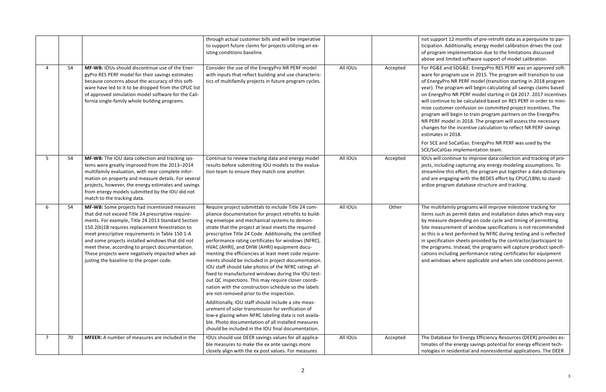rt 12 months of pre-retrofit data as a perquisite to par-Additionally, energy model calibration drives the cost implementation due to the limitations discussed limited software support of model calibration.

and SDG&E: EnergyPro RES PERF was an approved softrogram use in 2015. The program will transition to use ro NR PERF model (transition starting in 2018 program program will begin calculating all savings claims based Pro NR PERF model starting in Q4 2017. 2017 incentives ue to be calculated based on RES PERF in order to minimer confusion on committed project incentives. The ill begin to train program partners on the EnergyPro odel in 2018. The program will assess the necessary r the incentive calculation to reflect NR PERF savings n 2018.

d SoCalGas: EnergyPro NR PERF was used by the Gas implementation team.

ontinue to improve data collection and tracking of proding capturing any energy modeling assumptions. To this effort, the program put together a data dictionary gaging with the BEDES effort by CPUC/LBNL to standgram database structure and tracking.

amily programs will improve milestone tracking for as permit dates and installation dates which may vary e depending on code cycle and timing of permitting. rement of window specifications is not recommended test performed by NFRC during testing and is reflected ation sheets provided by the contractor/participant to ms. Instead, the programs will capture product specifiluding performance rating certificates for equipment ws where applicable and when site conditions permit.

Allahrer For Energy Efficiency Resources (DEER) provides esthe energy savings potential for energy efficient techresidential and nonresidential applications. The DEER

|                |    |                                                                                                                                                                                                                                                                                                                                                                                                                                                                         | through actual customer bills and will be imperative<br>to support future claims for projects utilizing an ex-                                                                                                                                                                                                                                                                                                                                                                                                                                                                                                                                                                                                                                                              |          |          | not suppor<br>ticipation.                                                                                                                                                               |
|----------------|----|-------------------------------------------------------------------------------------------------------------------------------------------------------------------------------------------------------------------------------------------------------------------------------------------------------------------------------------------------------------------------------------------------------------------------------------------------------------------------|-----------------------------------------------------------------------------------------------------------------------------------------------------------------------------------------------------------------------------------------------------------------------------------------------------------------------------------------------------------------------------------------------------------------------------------------------------------------------------------------------------------------------------------------------------------------------------------------------------------------------------------------------------------------------------------------------------------------------------------------------------------------------------|----------|----------|-----------------------------------------------------------------------------------------------------------------------------------------------------------------------------------------|
|                |    |                                                                                                                                                                                                                                                                                                                                                                                                                                                                         | isting conditions baseline.                                                                                                                                                                                                                                                                                                                                                                                                                                                                                                                                                                                                                                                                                                                                                 |          |          | of program<br>above and                                                                                                                                                                 |
| 4              | 54 | MF-WB: IOUs should discontinue use of the Ener-<br>gyPro RES PERF model for their savings estimates<br>because concerns about the accuracy of this soft-<br>ware have led to it to be dropped from the CPUC list<br>of approved simulation model software for the Cali-<br>fornia single-family whole building programs.                                                                                                                                                | Consider the use of the EnergyPro NR PERF model<br>with inputs that reflect building and use characteris-<br>tics of multifamily projects in future program cycles.                                                                                                                                                                                                                                                                                                                                                                                                                                                                                                                                                                                                         | All IOUs | Accepted | For PG&E a<br>ware for pr<br>of EnergyP<br>year). The<br>on EnergyP<br>will continu<br>mize custor<br>program w<br>NR PERF m<br>changes for<br>estimates i<br>For SCE and<br>SCE/SoCalG |
| 5              | 54 | MF-WB: The IOU data collection and tracking sys-<br>tems were greatly improved from the 2013-2014<br>multifamily evaluation, with near complete infor-<br>mation on property and measure details. For several<br>projects, however, the energy estimates and savings<br>from energy models submitted by the IOU did not<br>match to the tracking data.                                                                                                                  | Continue to review tracking data and energy model<br>results before submitting IOU models to the evalua-<br>tion team to ensure they match one another.                                                                                                                                                                                                                                                                                                                                                                                                                                                                                                                                                                                                                     | All IOUs | Accepted | IOUs will co<br>jects, inclue<br>streamline<br>and are eng<br>ardize prog                                                                                                               |
| 6              | 54 | MF-WB: Some projects had incentivized measures<br>that did not exceed Title 24 prescriptive require-<br>ments. For example, Title 24 2013 Standard Section<br>150.2(b)1B requires replacement fenestration to<br>meet prescriptive requirements in Table 150 1-A<br>and some projects installed windows that did not<br>meet these, according to project documentation.<br>These projects were negatively impacted when ad-<br>justing the baseline to the proper code. | Require project submittals to include Title 24 com-<br>pliance documentation for project retrofits to build-<br>ing envelope and mechanical systems to demon-<br>strate that the project at least meets the required<br>prescriptive Title 24 Code. Additionally, the certified<br>performance rating certificates for windows (NFRC),<br>HVAC (AHRI), and DHW (AHRI) equipment docu-<br>menting the efficiencies at least meet code require-<br>ments should be included in project documentation.<br>IOU staff should take photos of the NFRC ratings af-<br>fixed to manufactured windows during the IOU test-<br>out QC inspections. This may require closer coordi-<br>nation with the construction schedule so the labels<br>are not removed prior to the inspection. | All IOUs | Other    | The multifa<br>items such<br>by measure<br>Site measu<br>as this is a<br>in specifica<br>the prograr<br>cations incl<br>and window                                                      |
|                |    |                                                                                                                                                                                                                                                                                                                                                                                                                                                                         | Additionally, IOU staff should include a site meas-<br>urement of solar transmission for verification of<br>low-e glazing when NFRC labeling data is not availa-<br>ble. Photo documentation of all installed measures<br>should be included in the IOU final documentation.                                                                                                                                                                                                                                                                                                                                                                                                                                                                                                |          |          |                                                                                                                                                                                         |
| $\overline{7}$ | 70 | <b>MFEER:</b> A number of measures are included in the                                                                                                                                                                                                                                                                                                                                                                                                                  | IOUs should use DEER savings values for all applica-<br>ble measures to make the ex ante savings more<br>closely align with the ex post values. For measures                                                                                                                                                                                                                                                                                                                                                                                                                                                                                                                                                                                                                | All IOUs | Accepted | The Databa<br>timates of t<br>nologies in                                                                                                                                               |